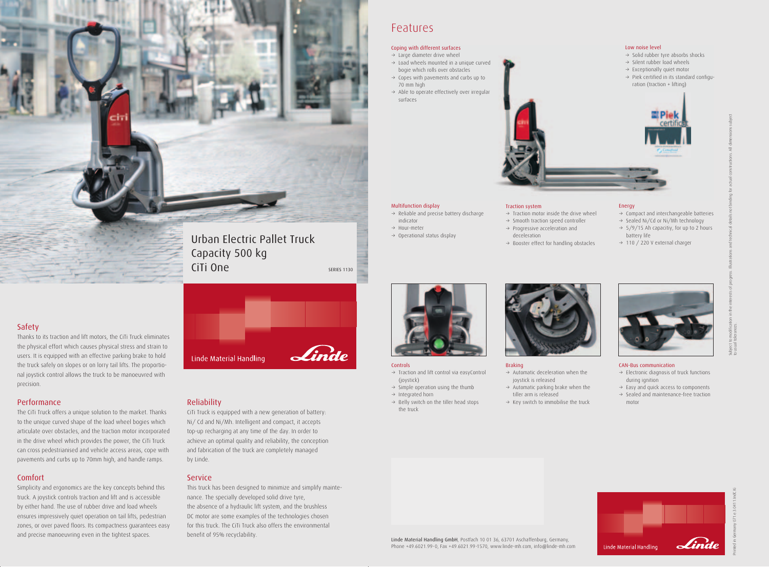Safety

### Thanks to its traction and lift motors, the CiTi Truck eliminates the physical effort which causes physical stress and strain to users. It is equipped with an effective parking brake to hold the truck safely on slopes or on lorry tail lifts. The proportional joystick control allows the truck to be manoeuvred with precision.

#### Performance

The CiTi Truck offers a unique solution to the market. Thanks to the unique curved shape of the load wheel bogies which articulate over obstacles, and the traction motor incorporated in the drive wheel which provides the power, the CiTi Truck can cross pedestrianised and vehicle access areas, cope with pavements and curbs up to 70mm high, and handle ramps.

#### Comfort

Simplicity and ergonomics are the key concepts behind this truck. A joystick controls traction and lift and is accessible by either hand. The use of rubber drive and load wheels ensures impressively quiet operation on tail lifts, pedestrian zones, or over paved floors. Its compactness guarantees easy and precise manoeuvring even in the tightest spaces.



- $\rightarrow$  Traction and lift control via easyControl (joystick)
- $\rightarrow$  Simple operation using the thumb
- $\rightarrow$  Integrated horn
- $\rightarrow$  Belly switch on the tiller head stops the truck



#### Reliability

CiTi Truck is equipped with a new generation of battery: Ni/ Cd and Ni/Mh. Intelligent and compact, it accepts top-up recharging at any time of the day. In order to achieve an optimal quality and reliability, the conception and fabrication of the truck are completely managed by Linde.

#### **Service**

- $\rightarrow$  Electronic diagnosis of truck functions during ignition
- $\rightarrow$  Easy and quick access to components
- $\rightarrow$  Sealed and maintenance-free traction motor
- $\rightarrow$  Solid rubber tyre absorbs shocks
- $\rightarrow$  Silent rubber load wheels
- $\rightarrow$  Exceptionally quiet motor
- $\rightarrow$  Piek certified in its standard configuration (traction + lifting)



This truck has been designed to minimize and simplify maintenance. The specially developed solid drive tyre, the absence of a hydraulic lift system, and the brushless DC motor are some examples of the technologies chosen for this truck. The CiTi Truck also offers the environmental benefit of 95% recyclability.



### Features

- $\rightarrow$  Large diameter drive wheel
- $\rightarrow$  Load wheels mounted in a unique curved bogie which rolls over obstacles
- $\rightarrow$  Copes with pavements and curbs up to 70 mm high
- $\rightarrow$  Able to operate effectively over irregular surfaces





#### Controls

#### Multifunction display

- $\rightarrow$  Reliable and precise battery discharge indicator
- $\rightarrow$  Hour-meter
- $\rightarrow$  Operational status display

#### Braking

- $\rightarrow$  Automatic deceleration when the joystick is released
- $\rightarrow$  Automatic parking brake when the tiller arm is released
- $\rightarrow$  Key switch to immobilise the truck

#### Energy

- $\rightarrow$  Compact and interchangeable batteries
- $\rightarrow$  Sealed Ni/Cd or Ni/Mh technology
- $\rightarrow$  5/9/15 Ah capacitiy, for up to 2 hours battery life
- $\rightarrow$  110 / 220 V external charger



#### CAN-Bus communication

071.e.3.0411.IndC.Ki



#### Low noise level

#### Traction system

- $\rightarrow$  Traction motor inside the drive wheel
- $\rightarrow$  Smooth traction speed controller
- $\rightarrow$  Progressive acceleration and deceleration
- $\rightarrow$  Booster effect for handling obstacles

#### Coping with different surfaces



Printed in Germany

Linde Linde Material Handling